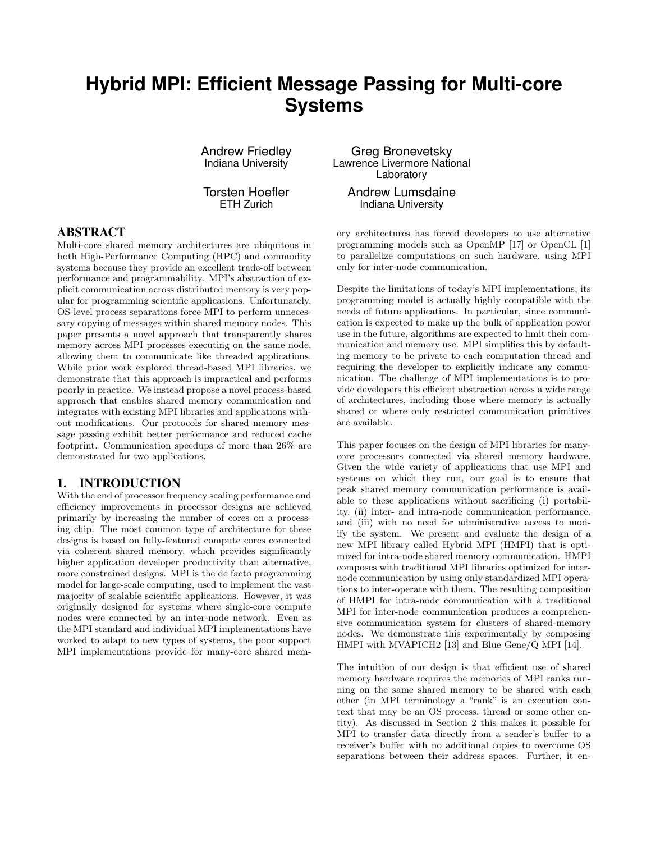# **Hybrid MPI: Efficient Message Passing for Multi-core Systems**

Andrew Friedley Indiana University

Torsten Hoefler ETH Zurich

## ABSTRACT

Multi-core shared memory architectures are ubiquitous in both High-Performance Computing (HPC) and commodity systems because they provide an excellent trade-off between performance and programmability. MPI's abstraction of explicit communication across distributed memory is very popular for programming scientific applications. Unfortunately, OS-level process separations force MPI to perform unnecessary copying of messages within shared memory nodes. This paper presents a novel approach that transparently shares memory across MPI processes executing on the same node, allowing them to communicate like threaded applications. While prior work explored thread-based MPI libraries, we demonstrate that this approach is impractical and performs poorly in practice. We instead propose a novel process-based approach that enables shared memory communication and integrates with existing MPI libraries and applications without modifications. Our protocols for shared memory message passing exhibit better performance and reduced cache footprint. Communication speedups of more than 26% are demonstrated for two applications.

# 1. INTRODUCTION

With the end of processor frequency scaling performance and efficiency improvements in processor designs are achieved primarily by increasing the number of cores on a processing chip. The most common type of architecture for these designs is based on fully-featured compute cores connected via coherent shared memory, which provides significantly higher application developer productivity than alternative, more constrained designs. MPI is the de facto programming model for large-scale computing, used to implement the vast majority of scalable scientific applications. However, it was originally designed for systems where single-core compute nodes were connected by an inter-node network. Even as the MPI standard and individual MPI implementations have worked to adapt to new types of systems, the poor support MPI implementations provide for many-core shared mem-

Greg Bronevetsky Lawrence Livermore National Laboratory

Andrew Lumsdaine Indiana University

ory architectures has forced developers to use alternative programming models such as OpenMP [17] or OpenCL [1] to parallelize computations on such hardware, using MPI only for inter-node communication.

Despite the limitations of today's MPI implementations, its programming model is actually highly compatible with the needs of future applications. In particular, since communication is expected to make up the bulk of application power use in the future, algorithms are expected to limit their communication and memory use. MPI simplifies this by defaulting memory to be private to each computation thread and requiring the developer to explicitly indicate any communication. The challenge of MPI implementations is to provide developers this efficient abstraction across a wide range of architectures, including those where memory is actually shared or where only restricted communication primitives are available.

This paper focuses on the design of MPI libraries for manycore processors connected via shared memory hardware. Given the wide variety of applications that use MPI and systems on which they run, our goal is to ensure that peak shared memory communication performance is available to these applications without sacrificing (i) portability, (ii) inter- and intra-node communication performance, and (iii) with no need for administrative access to modify the system. We present and evaluate the design of a new MPI library called Hybrid MPI (HMPI) that is optimized for intra-node shared memory communication. HMPI composes with traditional MPI libraries optimized for internode communication by using only standardized MPI operations to inter-operate with them. The resulting composition of HMPI for intra-node communication with a traditional MPI for inter-node communication produces a comprehensive communication system for clusters of shared-memory nodes. We demonstrate this experimentally by composing HMPI with MVAPICH2 [13] and Blue Gene/Q MPI [14].

The intuition of our design is that efficient use of shared memory hardware requires the memories of MPI ranks running on the same shared memory to be shared with each other (in MPI terminology a "rank" is an execution context that may be an OS process, thread or some other entity). As discussed in Section 2 this makes it possible for MPI to transfer data directly from a sender's buffer to a receiver's buffer with no additional copies to overcome OS separations between their address spaces. Further, it en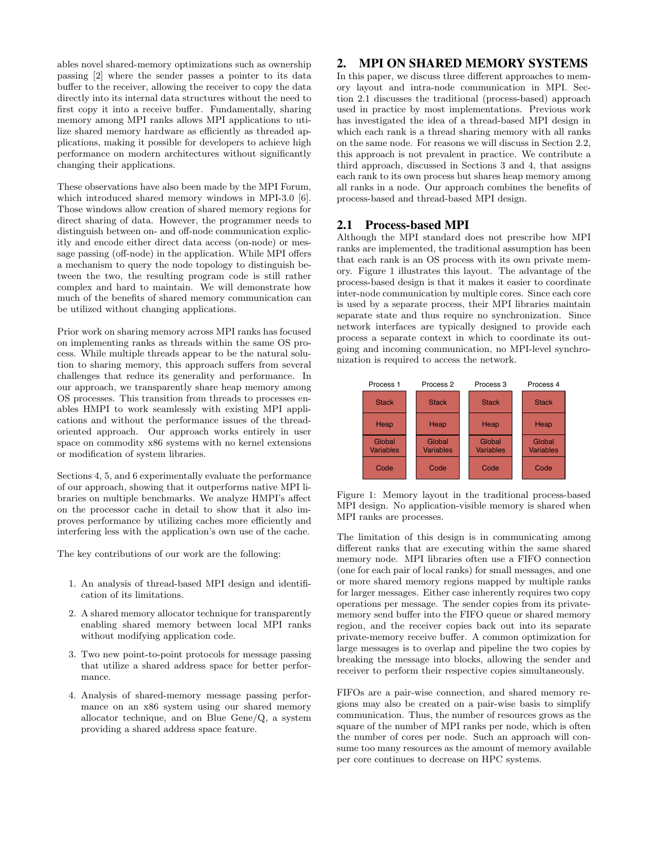ables novel shared-memory optimizations such as ownership passing [2] where the sender passes a pointer to its data buffer to the receiver, allowing the receiver to copy the data directly into its internal data structures without the need to first copy it into a receive buffer. Fundamentally, sharing memory among MPI ranks allows MPI applications to utilize shared memory hardware as efficiently as threaded applications, making it possible for developers to achieve high performance on modern architectures without significantly changing their applications.

These observations have also been made by the MPI Forum, which introduced shared memory windows in MPI-3.0 [6]. Those windows allow creation of shared memory regions for direct sharing of data. However, the programmer needs to distinguish between on- and off-node communication explicitly and encode either direct data access (on-node) or message passing (off-node) in the application. While MPI offers a mechanism to query the node topology to distinguish between the two, the resulting program code is still rather complex and hard to maintain. We will demonstrate how much of the benefits of shared memory communication can be utilized without changing applications.

Prior work on sharing memory across MPI ranks has focused on implementing ranks as threads within the same OS process. While multiple threads appear to be the natural solution to sharing memory, this approach suffers from several challenges that reduce its generality and performance. In our approach, we transparently share heap memory among OS processes. This transition from threads to processes enables HMPI to work seamlessly with existing MPI applications and without the performance issues of the threadoriented approach. Our approach works entirely in user space on commodity x86 systems with no kernel extensions or modification of system libraries.

Sections 4, 5, and 6 experimentally evaluate the performance of our approach, showing that it outperforms native MPI libraries on multiple benchmarks. We analyze HMPI's affect on the processor cache in detail to show that it also improves performance by utilizing caches more efficiently and interfering less with the application's own use of the cache.

The key contributions of our work are the following:

- 1. An analysis of thread-based MPI design and identification of its limitations.
- 2. A shared memory allocator technique for transparently enabling shared memory between local MPI ranks without modifying application code.
- 3. Two new point-to-point protocols for message passing that utilize a shared address space for better performance.
- 4. Analysis of shared-memory message passing performance on an x86 system using our shared memory allocator technique, and on Blue Gene/Q, a system providing a shared address space feature.

# 2. MPI ON SHARED MEMORY SYSTEMS

In this paper, we discuss three different approaches to memory layout and intra-node communication in MPI. Section 2.1 discusses the traditional (process-based) approach used in practice by most implementations. Previous work has investigated the idea of a thread-based MPI design in which each rank is a thread sharing memory with all ranks on the same node. For reasons we will discuss in Section 2.2, this approach is not prevalent in practice. We contribute a third approach, discussed in Sections 3 and 4, that assigns each rank to its own process but shares heap memory among all ranks in a node. Our approach combines the benefits of process-based and thread-based MPI design.

## 2.1 Process-based MPI

Although the MPI standard does not prescribe how MPI ranks are implemented, the traditional assumption has been that each rank is an OS process with its own private memory. Figure 1 illustrates this layout. The advantage of the process-based design is that it makes it easier to coordinate inter-node communication by multiple cores. Since each core is used by a separate process, their MPI libraries maintain separate state and thus require no synchronization. Since network interfaces are typically designed to provide each process a separate context in which to coordinate its outgoing and incoming communication, no MPI-level synchronization is required to access the network.



Figure 1: Memory layout in the traditional process-based MPI design. No application-visible memory is shared when MPI ranks are processes.

The limitation of this design is in communicating among different ranks that are executing within the same shared memory node. MPI libraries often use a FIFO connection (one for each pair of local ranks) for small messages, and one or more shared memory regions mapped by multiple ranks for larger messages. Either case inherently requires two copy operations per message. The sender copies from its privatememory send buffer into the FIFO queue or shared memory region, and the receiver copies back out into its separate private-memory receive buffer. A common optimization for large messages is to overlap and pipeline the two copies by breaking the message into blocks, allowing the sender and receiver to perform their respective copies simultaneously.

FIFOs are a pair-wise connection, and shared memory regions may also be created on a pair-wise basis to simplify communication. Thus, the number of resources grows as the square of the number of MPI ranks per node, which is often the number of cores per node. Such an approach will consume too many resources as the amount of memory available per core continues to decrease on HPC systems.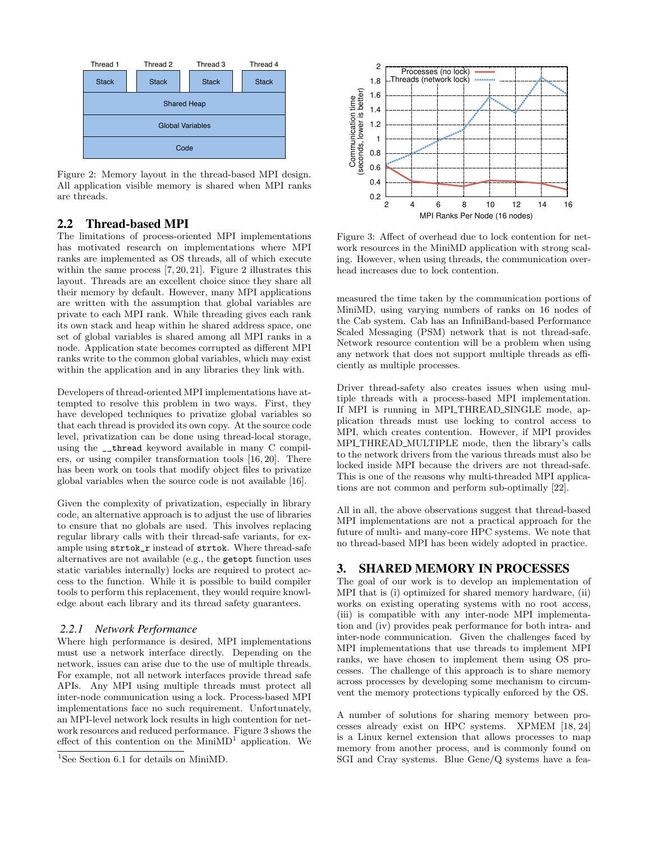

Figure 2: Memory layout in the thread-based MPI design. All application visible memory is shared when MPI ranks are threads.

# 2.2 Thread-based MPI

The limitations of process-oriented MPI implementations has motivated research on implementations where MPI ranks are implemented as OS threads, all of which execute within the same process [7, 20, 21]. Figure 2 illustrates this layout. Threads are an excellent choice since they share all their memory by default. However, many MPI applications are written with the assumption that global variables are private to each MPI rank. While threading gives each rank its own stack and heap within he shared address space, one set of global variables is shared among all MPI ranks in a node. Application state becomes corrupted as different MPI ranks write to the common global variables, which may exist within the application and in any libraries they link with.

Developers of thread-oriented MPI implementations have attempted to resolve this problem in two ways. First, they have developed techniques to privatize global variables so that each thread is provided its own copy. At the source code level, privatization can be done using thread-local storage, using the \_\_thread keyword available in many C compilers, or using compiler transformation tools [16, 20]. There has been work on tools that modify object files to privatize global variables when the source code is not available [16].

Given the complexity of privatization, especially in library code, an alternative approach is to adjust the use of libraries to ensure that no globals are used. This involves replacing regular library calls with their thread-safe variants, for example using strtok\_r instead of strtok. Where thread-safe alternatives are not available (e.g., the getopt function uses static variables internally) locks are required to protect access to the function. While it is possible to build compiler tools to perform this replacement, they would require knowledge about each library and its thread safety guarantees.

#### *2.2.1 Network Performance*

Where high performance is desired, MPI implementations must use a network interface directly. Depending on the network, issues can arise due to the use of multiple threads. For example, not all network interfaces provide thread safe APIs. Any MPI using multiple threads must protect all inter-node communication using a lock. Process-based MPI implementations face no such requirement. Unfortunately, an MPI-level network lock results in high contention for network resources and reduced performance. Figure 3 shows the effect of this contention on the MiniMD<sup>1</sup> application. We



Figure 3: Affect of overhead due to lock contention for network resources in the MiniMD application with strong scaling. However, when using threads, the communication overhead increases due to lock contention.

measured the time taken by the communication portions of MiniMD, using varying numbers of ranks on 16 nodes of the Cab system. Cab has an InfiniBand-based Performance Scaled Messaging (PSM) network that is not thread-safe. Network resource contention will be a problem when using any network that does not support multiple threads as efficiently as multiple processes.

Driver thread-safety also creates issues when using multiple threads with a process-based MPI implementation. If MPI is running in MPLTHREAD\_SINGLE mode, application threads must use locking to control access to MPI, which creates contention. However, if MPI provides MPLTHREAD\_MULTIPLE mode, then the library's calls to the network drivers from the various threads must also be locked inside MPI because the drivers are not thread-safe. This is one of the reasons why multi-threaded MPI applications are not common and perform sub-optimally [22].

All in all, the above observations suggest that thread-based MPI implementations are not a practical approach for the future of multi- and many-core HPC systems. We note that no thread-based MPI has been widely adopted in practice.

## 3. SHARED MEMORY IN PROCESSES

The goal of our work is to develop an implementation of MPI that is (i) optimized for shared memory hardware, (ii) works on existing operating systems with no root access, (iii) is compatible with any inter-node MPI implementation and (iv) provides peak performance for both intra- and inter-node communication. Given the challenges faced by MPI implementations that use threads to implement MPI ranks, we have chosen to implement them using OS processes. The challenge of this approach is to share memory across processes by developing some mechanism to circumvent the memory protections typically enforced by the OS.

A number of solutions for sharing memory between processes already exist on HPC systems. XPMEM [18, 24] is a Linux kernel extension that allows processes to map memory from another process, and is commonly found on SGI and Cray systems. Blue Gene/Q systems have a fea-

<sup>1</sup>See Section 6.1 for details on MiniMD.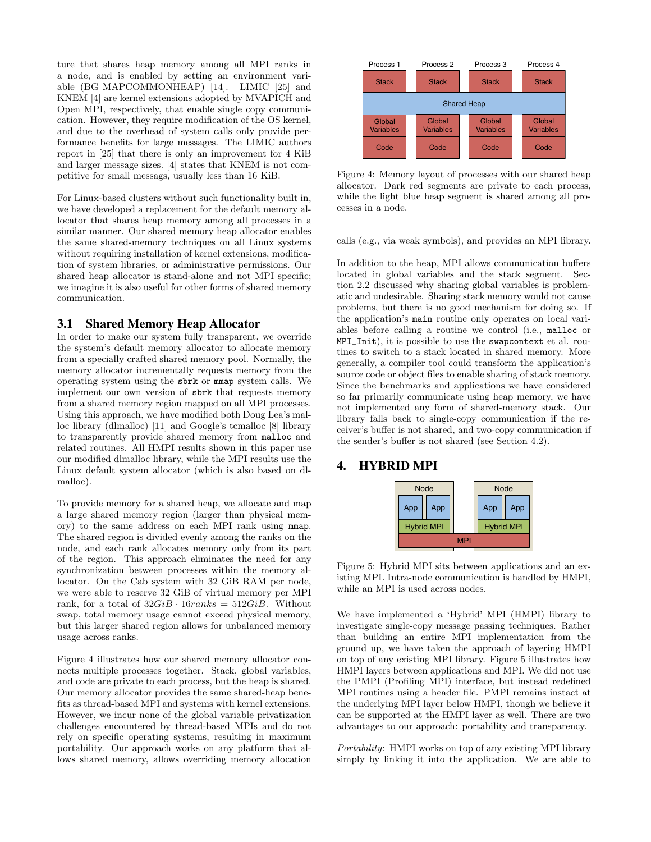ture that shares heap memory among all MPI ranks in a node, and is enabled by setting an environment variable (BG MAPCOMMONHEAP) [14]. LIMIC [25] and KNEM [4] are kernel extensions adopted by MVAPICH and Open MPI, respectively, that enable single copy communication. However, they require modification of the OS kernel, and due to the overhead of system calls only provide performance benefits for large messages. The LIMIC authors report in [25] that there is only an improvement for 4 KiB and larger message sizes. [4] states that KNEM is not competitive for small messags, usually less than 16 KiB.

For Linux-based clusters without such functionality built in, we have developed a replacement for the default memory allocator that shares heap memory among all processes in a similar manner. Our shared memory heap allocator enables the same shared-memory techniques on all Linux systems without requiring installation of kernel extensions, modification of system libraries, or administrative permissions. Our shared heap allocator is stand-alone and not MPI specific; we imagine it is also useful for other forms of shared memory communication.

## 3.1 Shared Memory Heap Allocator

In order to make our system fully transparent, we override the system's default memory allocator to allocate memory from a specially crafted shared memory pool. Normally, the memory allocator incrementally requests memory from the operating system using the sbrk or mmap system calls. We implement our own version of sbrk that requests memory from a shared memory region mapped on all MPI processes. Using this approach, we have modified both Doug Lea's malloc library (dlmalloc) [11] and Google's tcmalloc [8] library to transparently provide shared memory from malloc and related routines. All HMPI results shown in this paper use our modified dlmalloc library, while the MPI results use the Linux default system allocator (which is also based on dlmalloc).

To provide memory for a shared heap, we allocate and map a large shared memory region (larger than physical memory) to the same address on each MPI rank using mmap. The shared region is divided evenly among the ranks on the node, and each rank allocates memory only from its part of the region. This approach eliminates the need for any synchronization between processes within the memory allocator. On the Cab system with 32 GiB RAM per node, we were able to reserve 32 GiB of virtual memory per MPI rank, for a total of  $32GiB \cdot 16ranks = 512GiB$ . Without swap, total memory usage cannot exceed physical memory, but this larger shared region allows for unbalanced memory usage across ranks.

Figure 4 illustrates how our shared memory allocator connects multiple processes together. Stack, global variables, and code are private to each process, but the heap is shared. Our memory allocator provides the same shared-heap benefits as thread-based MPI and systems with kernel extensions. However, we incur none of the global variable privatization challenges encountered by thread-based MPIs and do not rely on specific operating systems, resulting in maximum portability. Our approach works on any platform that allows shared memory, allows overriding memory allocation



Figure 4: Memory layout of processes with our shared heap allocator. Dark red segments are private to each process, while the light blue heap segment is shared among all processes in a node.

calls (e.g., via weak symbols), and provides an MPI library.

In addition to the heap, MPI allows communication buffers located in global variables and the stack segment. Section 2.2 discussed why sharing global variables is problematic and undesirable. Sharing stack memory would not cause problems, but there is no good mechanism for doing so. If the application's main routine only operates on local variables before calling a routine we control (i.e., malloc or MPI\_Init), it is possible to use the swapcontext et al. routines to switch to a stack located in shared memory. More generally, a compiler tool could transform the application's source code or object files to enable sharing of stack memory. Since the benchmarks and applications we have considered so far primarily communicate using heap memory, we have not implemented any form of shared-memory stack. Our library falls back to single-copy communication if the receiver's buffer is not shared, and two-copy communication if the sender's buffer is not shared (see Section 4.2).

## 4. HYBRID MPI



Figure 5: Hybrid MPI sits between applications and an existing MPI. Intra-node communication is handled by HMPI, while an MPI is used across nodes.

We have implemented a 'Hybrid' MPI (HMPI) library to investigate single-copy message passing techniques. Rather than building an entire MPI implementation from the ground up, we have taken the approach of layering HMPI on top of any existing MPI library. Figure 5 illustrates how HMPI layers between applications and MPI. We did not use the PMPI (Profiling MPI) interface, but instead redefined MPI routines using a header file. PMPI remains instact at the underlying MPI layer below HMPI, though we believe it can be supported at the HMPI layer as well. There are two advantages to our approach: portability and transparency.

Portability: HMPI works on top of any existing MPI library simply by linking it into the application. We are able to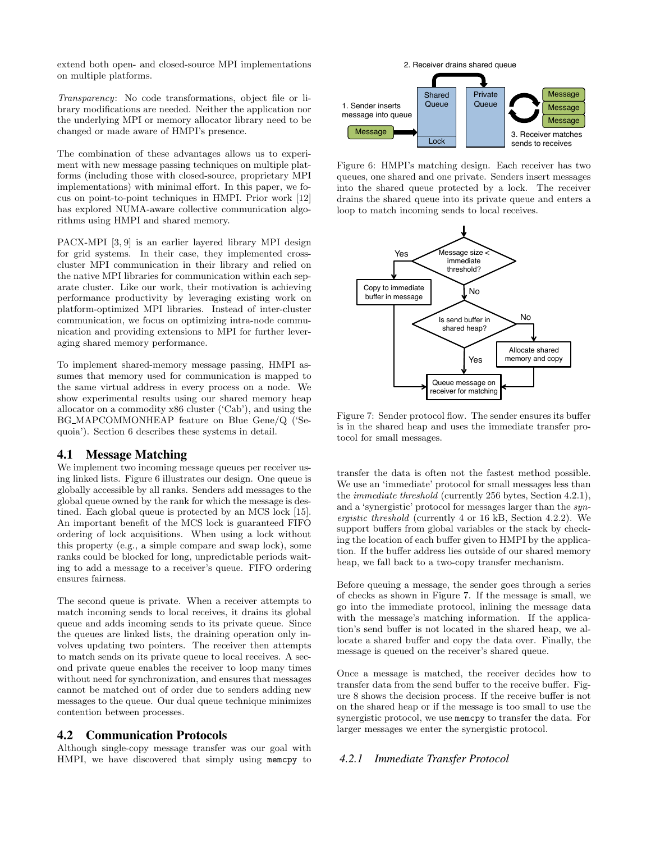extend both open- and closed-source MPI implementations on multiple platforms.

Transparency: No code transformations, object file or library modifications are needed. Neither the application nor the underlying MPI or memory allocator library need to be changed or made aware of HMPI's presence.

The combination of these advantages allows us to experiment with new message passing techniques on multiple platforms (including those with closed-source, proprietary MPI implementations) with minimal effort. In this paper, we focus on point-to-point techniques in HMPI. Prior work [12] has explored NUMA-aware collective communication algorithms using HMPI and shared memory.

PACX-MPI [3, 9] is an earlier layered library MPI design for grid systems. In their case, they implemented crosscluster MPI communication in their library and relied on the native MPI libraries for communication within each separate cluster. Like our work, their motivation is achieving performance productivity by leveraging existing work on platform-optimized MPI libraries. Instead of inter-cluster communication, we focus on optimizing intra-node communication and providing extensions to MPI for further leveraging shared memory performance.

To implement shared-memory message passing, HMPI assumes that memory used for communication is mapped to the same virtual address in every process on a node. We show experimental results using our shared memory heap allocator on a commodity x86 cluster ('Cab'), and using the BG MAPCOMMONHEAP feature on Blue Gene/Q ('Sequoia'). Section 6 describes these systems in detail.

# 4.1 Message Matching

We implement two incoming message queues per receiver using linked lists. Figure 6 illustrates our design. One queue is globally accessible by all ranks. Senders add messages to the global queue owned by the rank for which the message is destined. Each global queue is protected by an MCS lock [15]. An important benefit of the MCS lock is guaranteed FIFO ordering of lock acquisitions. When using a lock without this property (e.g., a simple compare and swap lock), some ranks could be blocked for long, unpredictable periods waiting to add a message to a receiver's queue. FIFO ordering ensures fairness.

The second queue is private. When a receiver attempts to match incoming sends to local receives, it drains its global queue and adds incoming sends to its private queue. Since the queues are linked lists, the draining operation only involves updating two pointers. The receiver then attempts to match sends on its private queue to local receives. A second private queue enables the receiver to loop many times without need for synchronization, and ensures that messages cannot be matched out of order due to senders adding new messages to the queue. Our dual queue technique minimizes contention between processes.

## 4.2 Communication Protocols

Although single-copy message transfer was our goal with HMPI, we have discovered that simply using memcpy to



Figure 6: HMPI's matching design. Each receiver has two queues, one shared and one private. Senders insert messages into the shared queue protected by a lock. The receiver drains the shared queue into its private queue and enters a loop to match incoming sends to local receives.



Figure 7: Sender protocol flow. The sender ensures its buffer is in the shared heap and uses the immediate transfer protocol for small messages.

transfer the data is often not the fastest method possible. We use an 'immediate' protocol for small messages less than the immediate threshold (currently 256 bytes, Section 4.2.1), and a 'synergistic' protocol for messages larger than the synergistic threshold (currently 4 or 16 kB, Section 4.2.2). We support buffers from global variables or the stack by checking the location of each buffer given to HMPI by the application. If the buffer address lies outside of our shared memory heap, we fall back to a two-copy transfer mechanism.

Before queuing a message, the sender goes through a series of checks as shown in Figure 7. If the message is small, we go into the immediate protocol, inlining the message data with the message's matching information. If the application's send buffer is not located in the shared heap, we allocate a shared buffer and copy the data over. Finally, the message is queued on the receiver's shared queue.

Once a message is matched, the receiver decides how to transfer data from the send buffer to the receive buffer. Figure 8 shows the decision process. If the receive buffer is not on the shared heap or if the message is too small to use the synergistic protocol, we use memcpy to transfer the data. For larger messages we enter the synergistic protocol.

#### *4.2.1 Immediate Transfer Protocol*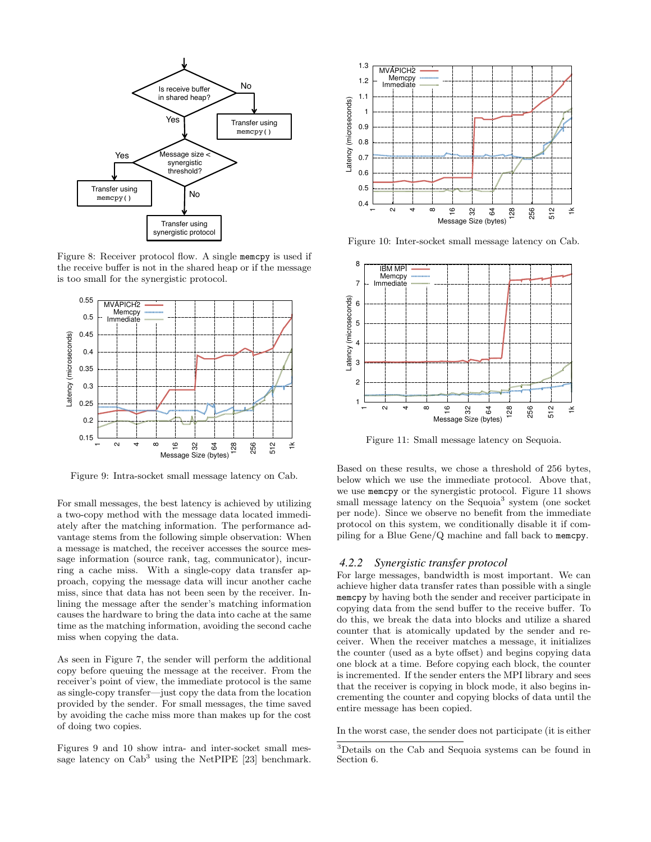

Figure 8: Receiver protocol flow. A single memcpy is used if the receive buffer is not in the shared heap or if the message is too small for the synergistic protocol.



Figure 9: Intra-socket small message latency on Cab.

For small messages, the best latency is achieved by utilizing a two-copy method with the message data located immediately after the matching information. The performance advantage stems from the following simple observation: When a message is matched, the receiver accesses the source message information (source rank, tag, communicator), incurring a cache miss. With a single-copy data transfer approach, copying the message data will incur another cache miss, since that data has not been seen by the receiver. Inlining the message after the sender's matching information causes the hardware to bring the data into cache at the same time as the matching information, avoiding the second cache miss when copying the data.

As seen in Figure 7, the sender will perform the additional copy before queuing the message at the receiver. From the receiver's point of view, the immediate protocol is the same as single-copy transfer—just copy the data from the location provided by the sender. For small messages, the time saved by avoiding the cache miss more than makes up for the cost of doing two copies.

Figures 9 and 10 show intra- and inter-socket small message latency on  $\mathrm{Cab}^3$  using the NetPIPE [23] benchmark.



Figure 10: Inter-socket small message latency on Cab.



Figure 11: Small message latency on Sequoia.

Based on these results, we chose a threshold of 256 bytes, below which we use the immediate protocol. Above that, we use memcpy or the synergistic protocol. Figure 11 shows small message latency on the Sequoia<sup>3</sup> system (one socket per node). Since we observe no benefit from the immediate protocol on this system, we conditionally disable it if compiling for a Blue Gene/Q machine and fall back to memcpy.

#### *4.2.2 Synergistic transfer protocol*

For large messages, bandwidth is most important. We can achieve higher data transfer rates than possible with a single memcpy by having both the sender and receiver participate in copying data from the send buffer to the receive buffer. To do this, we break the data into blocks and utilize a shared counter that is atomically updated by the sender and receiver. When the receiver matches a message, it initializes the counter (used as a byte offset) and begins copying data one block at a time. Before copying each block, the counter is incremented. If the sender enters the MPI library and sees that the receiver is copying in block mode, it also begins incrementing the counter and copying blocks of data until the entire message has been copied.

In the worst case, the sender does not participate (it is either

<sup>3</sup>Details on the Cab and Sequoia systems can be found in Section 6.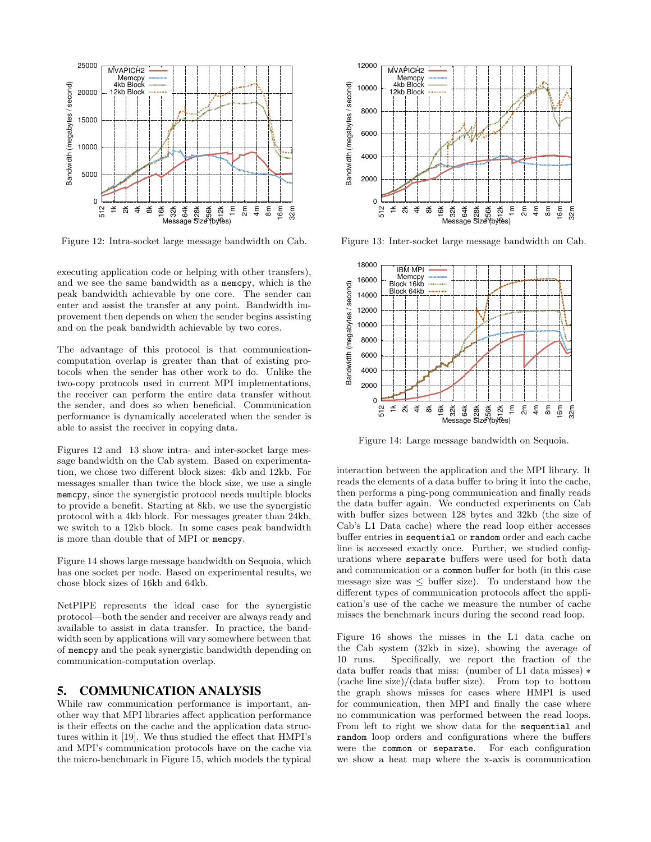

Figure 12: Intra-socket large message bandwidth on Cab.

executing application code or helping with other transfers), and we see the same bandwidth as a memcpy, which is the peak bandwidth achievable by one core. The sender can enter and assist the transfer at any point. Bandwidth improvement then depends on when the sender begins assisting and on the peak bandwidth achievable by two cores.

The advantage of this protocol is that communicationcomputation overlap is greater than that of existing protocols when the sender has other work to do. Unlike the two-copy protocols used in current MPI implementations, the receiver can perform the entire data transfer without the sender, and does so when beneficial. Communication performance is dynamically accelerated when the sender is able to assist the receiver in copying data.

Figures 12 and 13 show intra- and inter-socket large message bandwidth on the Cab system. Based on experimentation, we chose two different block sizes: 4kb and 12kb. For messages smaller than twice the block size, we use a single memcpy, since the synergistic protocol needs multiple blocks to provide a benefit. Starting at 8kb, we use the synergistic protocol with a 4kb block. For messages greater than 24kb, we switch to a 12kb block. In some cases peak bandwidth is more than double that of MPI or memcpy.

Figure 14 shows large message bandwidth on Sequoia, which has one socket per node. Based on experimental results, we chose block sizes of 16kb and 64kb.

NetPIPE represents the ideal case for the synergistic protocol—both the sender and receiver are always ready and available to assist in data transfer. In practice, the bandwidth seen by applications will vary somewhere between that of memcpy and the peak synergistic bandwidth depending on communication-computation overlap.

## 5. COMMUNICATION ANALYSIS

While raw communication performance is important, another way that MPI libraries affect application performance is their effects on the cache and the application data structures within it [19]. We thus studied the effect that HMPI's and MPI's communication protocols have on the cache via the micro-benchmark in Figure 15, which models the typical



Figure 13: Inter-socket large message bandwidth on Cab.



Figure 14: Large message bandwidth on Sequoia.

interaction between the application and the MPI library. It reads the elements of a data buffer to bring it into the cache, then performs a ping-pong communication and finally reads the data buffer again. We conducted experiments on Cab with buffer sizes between 128 bytes and 32kb (the size of Cab's L1 Data cache) where the read loop either accesses buffer entries in sequential or random order and each cache line is accessed exactly once. Further, we studied configurations where separate buffers were used for both data and communication or a common buffer for both (in this case message size was  $\leq$  buffer size). To understand how the different types of communication protocols affect the application's use of the cache we measure the number of cache misses the benchmark incurs during the second read loop.

Figure 16 shows the misses in the L1 data cache on the Cab system (32kb in size), showing the average of 10 runs. Specifically, we report the fraction of the data buffer reads that miss: (number of L1 data misses) ∗ (cache line size)/(data buffer size). From top to bottom the graph shows misses for cases where HMPI is used for communication, then MPI and finally the case where no communication was performed between the read loops. From left to right we show data for the sequential and random loop orders and configurations where the buffers were the common or separate. For each configuration we show a heat map where the x-axis is communication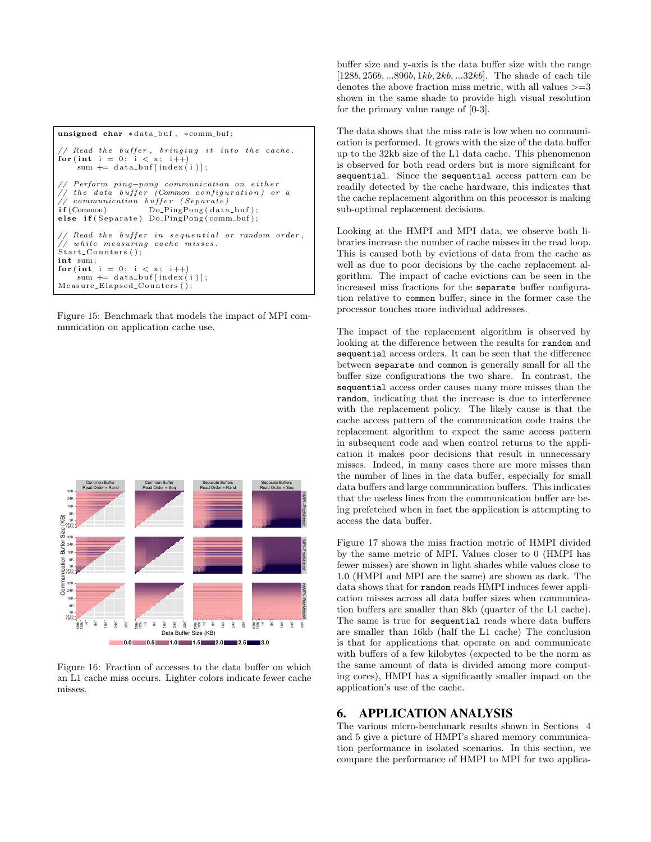```
unsigned char *data_buf, *comm_buf;
  Read the buffer, bringing it into the cache.
for (int i = 0; i < x; i++)
    sum \leftarrow data_buf[index(i)];
  Perform ping-pong communication on either
1/ the data buffer (Common configuration) or a
\frac{1}{2} communication buffer (Separate)<br>if (Common) Do_PingPong(data
                    Do_PingPong ( data_buf);else if (Separate) Do_PingPong (comm_buf);
   Read the buffer in sequential or random order,
   while measuring cache misses.
Start_Counters ();<br>int sum;
for (int i = 0; i < x; i++)
    sum \leftarrow data_buf[index(i)];
Measure_Elapsed_Counters();
```
Figure 15: Benchmark that models the impact of MPI communication on application cache use.



Figure 16: Fraction of accesses to the data buffer on which an L1 cache miss occurs. Lighter colors indicate fewer cache misses.

buffer size and y-axis is the data buffer size with the range  $[128b, 256b, \ldots 896b, 1kb, 2kb, \ldots 32kb]$ . The shade of each tile denotes the above fraction miss metric, with all values  $>=3$ shown in the same shade to provide high visual resolution for the primary value range of [0-3].

The data shows that the miss rate is low when no communication is performed. It grows with the size of the data buffer up to the 32kb size of the L1 data cache. This phenomenon is observed for both read orders but is more significant for sequential. Since the sequential access pattern can be readily detected by the cache hardware, this indicates that the cache replacement algorithm on this processor is making sub-optimal replacement decisions.

Looking at the HMPI and MPI data, we observe both libraries increase the number of cache misses in the read loop. This is caused both by evictions of data from the cache as well as due to poor decisions by the cache replacement algorithm. The impact of cache evictions can be seen in the increased miss fractions for the separate buffer configuration relative to common buffer, since in the former case the processor touches more individual addresses.

The impact of the replacement algorithm is observed by looking at the difference between the results for random and sequential access orders. It can be seen that the difference between separate and common is generally small for all the buffer size configurations the two share. In contrast, the sequential access order causes many more misses than the random, indicating that the increase is due to interference with the replacement policy. The likely cause is that the cache access pattern of the communication code trains the replacement algorithm to expect the same access pattern in subsequent code and when control returns to the application it makes poor decisions that result in unnecessary misses. Indeed, in many cases there are more misses than the number of lines in the data buffer, especially for small data buffers and large communication buffers. This indicates that the useless lines from the communication buffer are being prefetched when in fact the application is attempting to access the data buffer.

Figure 17 shows the miss fraction metric of HMPI divided by the same metric of MPI. Values closer to 0 (HMPI has fewer misses) are shown in light shades while values close to 1.0 (HMPI and MPI are the same) are shown as dark. The data shows that for random reads HMPI induces fewer application misses across all data buffer sizes when communication buffers are smaller than 8kb (quarter of the L1 cache). The same is true for sequential reads where data buffers are smaller than 16kb (half the L1 cache) The conclusion is that for applications that operate on and communicate with buffers of a few kilobytes (expected to be the norm as the same amount of data is divided among more computing cores), HMPI has a significantly smaller impact on the application's use of the cache.

# 6. APPLICATION ANALYSIS

The various micro-benchmark results shown in Sections 4 and 5 give a picture of HMPI's shared memory communication performance in isolated scenarios. In this section, we compare the performance of HMPI to MPI for two applica-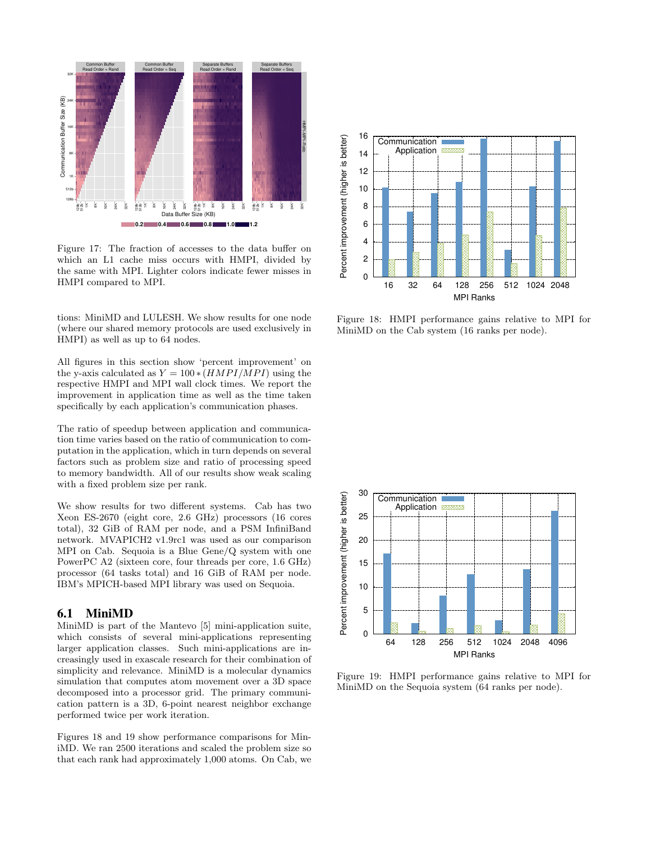

Figure 17: The fraction of accesses to the data buffer on which an L1 cache miss occurs with HMPI, divided by the same with MPI. Lighter colors indicate fewer misses in HMPI compared to MPI.

tions: MiniMD and LULESH. We show results for one node (where our shared memory protocols are used exclusively in HMPI) as well as up to 64 nodes.

All figures in this section show 'percent improvement' on the y-axis calculated as  $Y = 100 * (HMPI/MPI)$  using the respective HMPI and MPI wall clock times. We report the improvement in application time as well as the time taken specifically by each application's communication phases.

The ratio of speedup between application and communication time varies based on the ratio of communication to computation in the application, which in turn depends on several factors such as problem size and ratio of processing speed to memory bandwidth. All of our results show weak scaling with a fixed problem size per rank.

We show results for two different systems. Cab has two Xeon ES-2670 (eight core, 2.6 GHz) processors (16 cores total), 32 GiB of RAM per node, and a PSM InfiniBand network. MVAPICH2 v1.9rc1 was used as our comparison MPI on Cab. Sequoia is a Blue Gene/Q system with one PowerPC A2 (sixteen core, four threads per core, 1.6 GHz) processor (64 tasks total) and 16 GiB of RAM per node. IBM's MPICH-based MPI library was used on Sequoia.

# 6.1 MiniMD

MiniMD is part of the Mantevo [5] mini-application suite, which consists of several mini-applications representing larger application classes. Such mini-applications are increasingly used in exascale research for their combination of simplicity and relevance. MiniMD is a molecular dynamics simulation that computes atom movement over a 3D space decomposed into a processor grid. The primary communication pattern is a 3D, 6-point nearest neighbor exchange performed twice per work iteration.

Figures 18 and 19 show performance comparisons for MiniMD. We ran 2500 iterations and scaled the problem size so that each rank had approximately 1,000 atoms. On Cab, we



Figure 18: HMPI performance gains relative to MPI for MiniMD on the Cab system (16 ranks per node).



Figure 19: HMPI performance gains relative to MPI for MiniMD on the Sequoia system (64 ranks per node).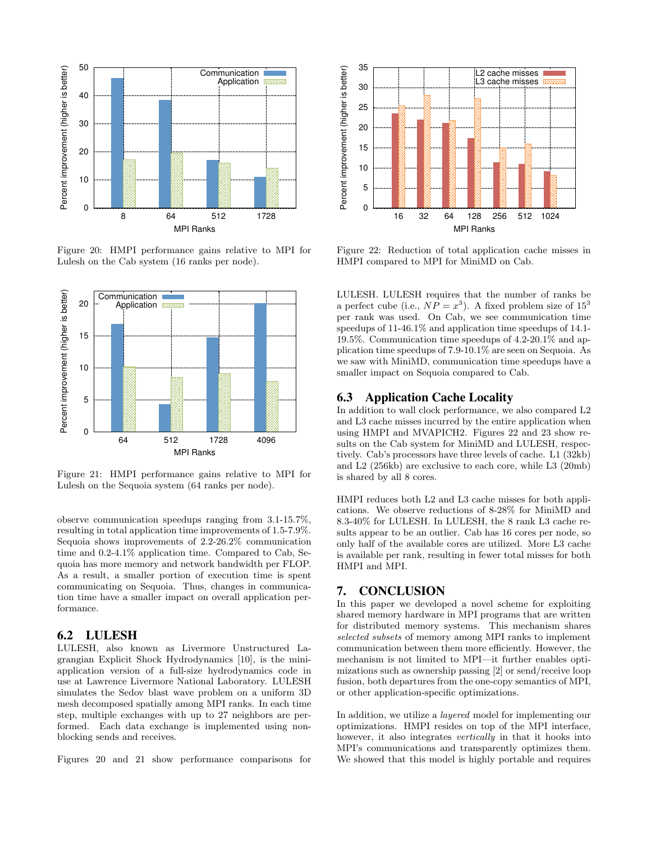

Figure 20: HMPI performance gains relative to MPI for Lulesh on the Cab system (16 ranks per node).



Figure 21: HMPI performance gains relative to MPI for Lulesh on the Sequoia system (64 ranks per node).

observe communication speedups ranging from 3.1-15.7%, resulting in total application time improvements of 1.5-7.9%. Sequoia shows improvements of 2.2-26.2% communication time and 0.2-4.1% application time. Compared to Cab, Sequoia has more memory and network bandwidth per FLOP. As a result, a smaller portion of execution time is spent communicating on Sequoia. Thus, changes in communication time have a smaller impact on overall application performance.

## 6.2 LULESH

LULESH, also known as Livermore Unstructured Lagrangian Explicit Shock Hydrodynamics [10], is the miniapplication version of a full-size hydrodynamics code in use at Lawrence Livermore National Laboratory. LULESH simulates the Sedov blast wave problem on a uniform 3D mesh decomposed spatially among MPI ranks. In each time step, multiple exchanges with up to 27 neighbors are performed. Each data exchange is implemented using nonblocking sends and receives.

Figures 20 and 21 show performance comparisons for



Figure 22: Reduction of total application cache misses in HMPI compared to MPI for MiniMD on Cab.

LULESH. LULESH requires that the number of ranks be a perfect cube (i.e.,  $NP = x^3$ ). A fixed problem size of  $15^3$ per rank was used. On Cab, we see communication time speedups of 11-46.1% and application time speedups of 14.1- 19.5%. Communication time speedups of 4.2-20.1% and application time speedups of 7.9-10.1% are seen on Sequoia. As we saw with MiniMD, communication time speedups have a smaller impact on Sequoia compared to Cab.

# 6.3 Application Cache Locality

In addition to wall clock performance, we also compared L2 and L3 cache misses incurred by the entire application when using HMPI and MVAPICH2. Figures 22 and 23 show results on the Cab system for MiniMD and LULESH, respectively. Cab's processors have three levels of cache. L1 (32kb) and L2 (256kb) are exclusive to each core, while L3 (20mb) is shared by all 8 cores.

HMPI reduces both L2 and L3 cache misses for both applications. We observe reductions of 8-28% for MiniMD and 8.3-40% for LULESH. In LULESH, the 8 rank L3 cache results appear to be an outlier. Cab has 16 cores per node, so only half of the available cores are utilized. More L3 cache is available per rank, resulting in fewer total misses for both HMPI and MPI.

## 7. CONCLUSION

In this paper we developed a novel scheme for exploiting shared memory hardware in MPI programs that are written for distributed memory systems. This mechanism shares selected subsets of memory among MPI ranks to implement communication between them more efficiently. However, the mechanism is not limited to MPI—it further enables optimizations such as ownership passing [2] or send/receive loop fusion, both departures from the one-copy semantics of MPI, or other application-specific optimizations.

In addition, we utilize a layered model for implementing our optimizations. HMPI resides on top of the MPI interface, however, it also integrates vertically in that it hooks into MPI's communications and transparently optimizes them. We showed that this model is highly portable and requires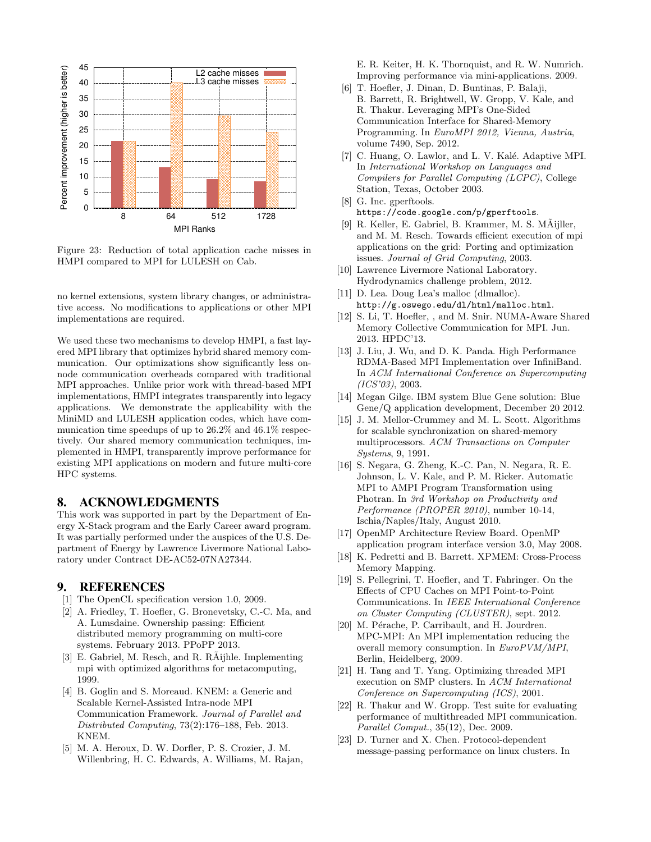

Figure 23: Reduction of total application cache misses in HMPI compared to MPI for LULESH on Cab.

no kernel extensions, system library changes, or administrative access. No modifications to applications or other MPI implementations are required.

We used these two mechanisms to develop HMPI, a fast layered MPI library that optimizes hybrid shared memory communication. Our optimizations show significantly less onnode communication overheads compared with traditional MPI approaches. Unlike prior work with thread-based MPI implementations, HMPI integrates transparently into legacy applications. We demonstrate the applicability with the MiniMD and LULESH application codes, which have communication time speedups of up to 26.2% and 46.1% respectively. Our shared memory communication techniques, implemented in HMPI, transparently improve performance for existing MPI applications on modern and future multi-core HPC systems.

## 8. ACKNOWLEDGMENTS

This work was supported in part by the Department of Energy X-Stack program and the Early Career award program. It was partially performed under the auspices of the U.S. Department of Energy by Lawrence Livermore National Laboratory under Contract DE-AC52-07NA27344.

## 9. REFERENCES

- [1] The OpenCL specification version 1.0, 2009.
- [2] A. Friedley, T. Hoefler, G. Bronevetsky, C.-C. Ma, and A. Lumsdaine. Ownership passing: Efficient distributed memory programming on multi-core systems. February 2013. PPoPP 2013.
- [3] E. Gabriel, M. Resch, and R. R $\tilde{A}$ ijhle. Implementing mpi with optimized algorithms for metacomputing, 1999.
- [4] B. Goglin and S. Moreaud. KNEM: a Generic and Scalable Kernel-Assisted Intra-node MPI Communication Framework. Journal of Parallel and Distributed Computing, 73(2):176–188, Feb. 2013. KNEM.
- [5] M. A. Heroux, D. W. Dorfler, P. S. Crozier, J. M. Willenbring, H. C. Edwards, A. Williams, M. Rajan,

E. R. Keiter, H. K. Thornquist, and R. W. Numrich. Improving performance via mini-applications. 2009.

- [6] T. Hoefler, J. Dinan, D. Buntinas, P. Balaji, B. Barrett, R. Brightwell, W. Gropp, V. Kale, and R. Thakur. Leveraging MPI's One-Sided Communication Interface for Shared-Memory Programming. In EuroMPI 2012, Vienna, Austria, volume 7490, Sep. 2012.
- [7] C. Huang, O. Lawlor, and L. V. Kalé. Adaptive MPI. In International Workshop on Languages and Compilers for Parallel Computing (LCPC), College Station, Texas, October 2003.
- [8] G. Inc. gperftools. https://code.google.com/p/gperftools.
- [9] R. Keller, E. Gabriel, B. Krammer, M. S. MÄijller, and M. M. Resch. Towards efficient execution of mpi applications on the grid: Porting and optimization issues. Journal of Grid Computing, 2003.
- [10] Lawrence Livermore National Laboratory. Hydrodynamics challenge problem, 2012.
- [11] D. Lea. Doug Lea's malloc (dlmalloc). http://g.oswego.edu/dl/html/malloc.html.
- [12] S. Li, T. Hoefler, , and M. Snir. NUMA-Aware Shared Memory Collective Communication for MPI. Jun. 2013. HPDC'13.
- [13] J. Liu, J. Wu, and D. K. Panda. High Performance RDMA-Based MPI Implementation over InfiniBand. In ACM International Conference on Supercomputing (ICS'03), 2003.
- [14] Megan Gilge. IBM system Blue Gene solution: Blue Gene/Q application development, December 20 2012.
- [15] J. M. Mellor-Crummey and M. L. Scott. Algorithms for scalable synchronization on shared-memory multiprocessors. ACM Transactions on Computer Systems, 9, 1991.
- [16] S. Negara, G. Zheng, K.-C. Pan, N. Negara, R. E. Johnson, L. V. Kale, and P. M. Ricker. Automatic MPI to AMPI Program Transformation using Photran. In 3rd Workshop on Productivity and Performance (PROPER 2010), number 10-14, Ischia/Naples/Italy, August 2010.
- [17] OpenMP Architecture Review Board. OpenMP application program interface version 3.0, May 2008.
- [18] K. Pedretti and B. Barrett. XPMEM: Cross-Process Memory Mapping.
- [19] S. Pellegrini, T. Hoefler, and T. Fahringer. On the Effects of CPU Caches on MPI Point-to-Point Communications. In IEEE International Conference on Cluster Computing (CLUSTER), sept. 2012.
- [20] M. Pérache, P. Carribault, and H. Jourdren. MPC-MPI: An MPI implementation reducing the overall memory consumption. In EuroPVM/MPI, Berlin, Heidelberg, 2009.
- [21] H. Tang and T. Yang. Optimizing threaded MPI execution on SMP clusters. In ACM International Conference on Supercomputing (ICS), 2001.
- [22] R. Thakur and W. Gropp. Test suite for evaluating performance of multithreaded MPI communication. Parallel Comput., 35(12), Dec. 2009.
- [23] D. Turner and X. Chen. Protocol-dependent message-passing performance on linux clusters. In